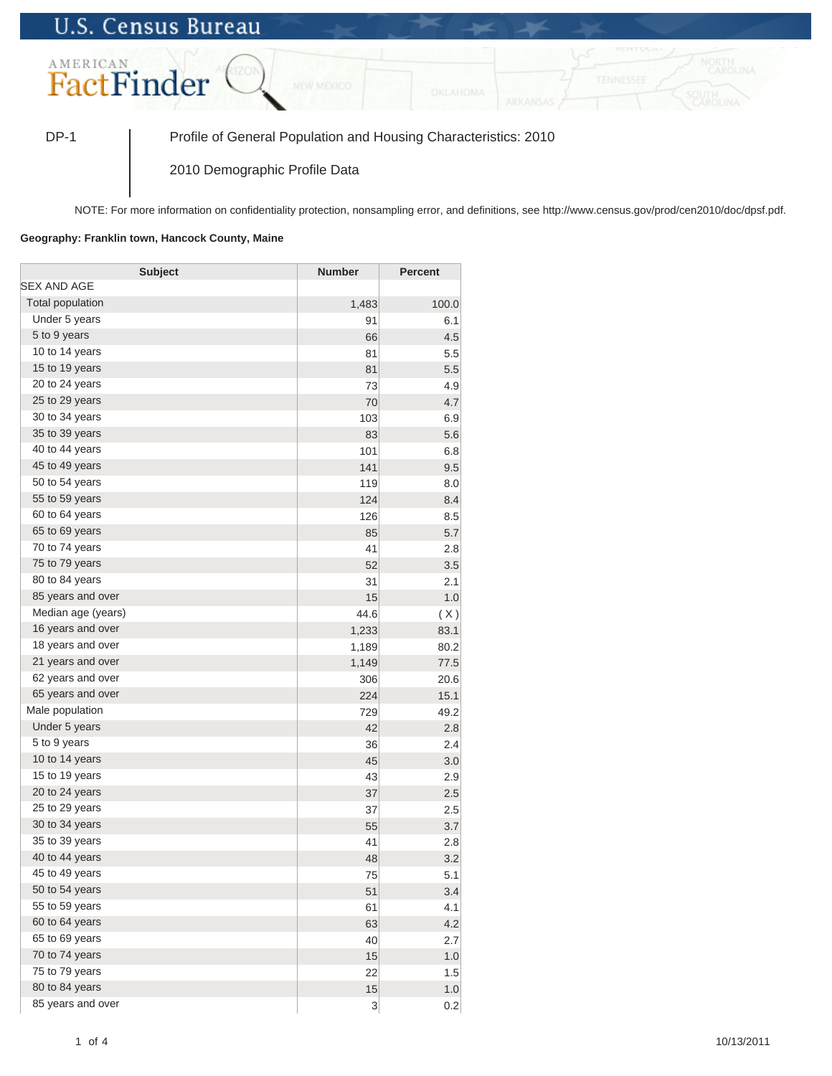## **U.S. Census Bureau**



DP-1 Profile of General Population and Housing Characteristics: 2010

2010 Demographic Profile Data

NOTE: For more information on confidentiality protection, nonsampling error, and definitions, see http://www.census.gov/prod/cen2010/doc/dpsf.pdf.

## **Geography: Franklin town, Hancock County, Maine**

| <b>Subject</b>     | <b>Number</b> | <b>Percent</b> |
|--------------------|---------------|----------------|
| SEX AND AGE        |               |                |
| Total population   | 1,483         | 100.0          |
| Under 5 years      | 91            | 6.1            |
| 5 to 9 years       | 66            | 4.5            |
| 10 to 14 years     | 81            | 5.5            |
| 15 to 19 years     | 81            | 5.5            |
| 20 to 24 years     | 73            | 4.9            |
| 25 to 29 years     | 70            | 4.7            |
| 30 to 34 years     | 103           | 6.9            |
| 35 to 39 years     | 83            | 5.6            |
| 40 to 44 years     | 101           | 6.8            |
| 45 to 49 years     | 141           | 9.5            |
| 50 to 54 years     | 119           | 8.0            |
| 55 to 59 years     | 124           | 8.4            |
| 60 to 64 years     | 126           | 8.5            |
| 65 to 69 years     | 85            | 5.7            |
| 70 to 74 years     | 41            | 2.8            |
| 75 to 79 years     | 52            | 3.5            |
| 80 to 84 years     | 31            | 2.1            |
| 85 years and over  | 15            | 1.0            |
| Median age (years) | 44.6          | (X)            |
| 16 years and over  | 1,233         | 83.1           |
| 18 years and over  | 1,189         | 80.2           |
| 21 years and over  | 1,149         | 77.5           |
| 62 years and over  | 306           | 20.6           |
| 65 years and over  | 224           | 15.1           |
| Male population    | 729           | 49.2           |
| Under 5 years      | 42            | 2.8            |
| 5 to 9 years       | 36            | 2.4            |
| 10 to 14 years     | 45            | 3.0            |
| 15 to 19 years     | 43            | 2.9            |
| 20 to 24 years     | 37            | 2.5            |
| 25 to 29 years     | 37            | 2.5            |
| 30 to 34 years     | 55            | 3.7            |
| 35 to 39 years     | 41            | 2.8            |
| 40 to 44 years     | 48            | 3.2            |
| 45 to 49 years     | 75            | 5.1            |
| 50 to 54 years     | 51            | 3.4            |
| 55 to 59 years     | 61            | 4.1            |
| 60 to 64 years     | 63            | 4.2            |
| 65 to 69 years     | 40            | 2.7            |
| 70 to 74 years     | 15            | $1.0\,$        |
| 75 to 79 years     | 22            | 1.5            |
| 80 to 84 years     | 15            | $1.0\,$        |
| 85 years and over  | 3             | 0.2            |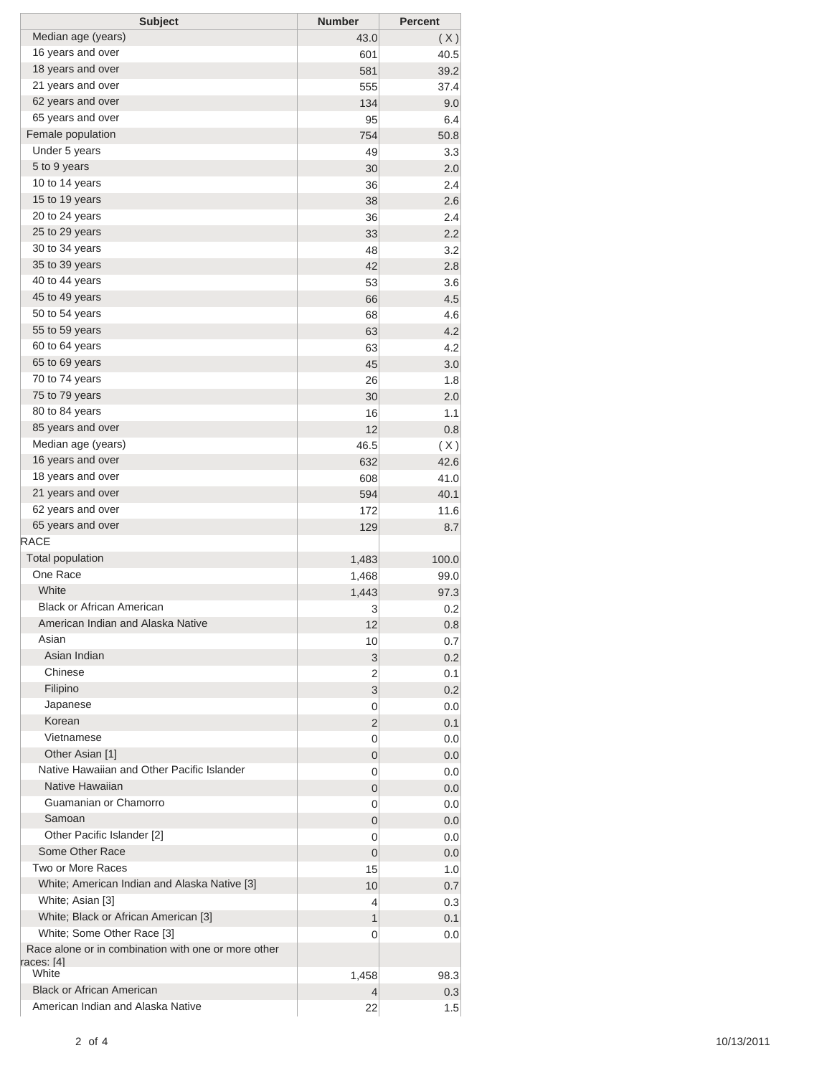| <b>Subject</b>                                      | <b>Number</b>  | <b>Percent</b> |
|-----------------------------------------------------|----------------|----------------|
| Median age (years)                                  | 43.0           | (X)            |
| 16 years and over                                   | 601            | 40.5           |
| 18 years and over                                   | 581            | 39.2           |
| 21 years and over                                   | 555            | 37.4           |
| 62 years and over                                   | 134            | 9.0            |
| 65 years and over                                   | 95             | 6.4            |
| Female population                                   | 754            | 50.8           |
| Under 5 years                                       | 49             | 3.3            |
| 5 to 9 years                                        | 30             | 2.0            |
| 10 to 14 years                                      | 36             | 2.4            |
| 15 to 19 years                                      | 38             | 2.6            |
| 20 to 24 years                                      | 36             | 2.4            |
| 25 to 29 years                                      | 33             | 2.2            |
| 30 to 34 years                                      | 48             | 3.2            |
| 35 to 39 years                                      | 42             | 2.8            |
| 40 to 44 years                                      | 53             | 3.6            |
| 45 to 49 years                                      | 66             | 4.5            |
| 50 to 54 years                                      | 68             | 4.6            |
| 55 to 59 years                                      | 63             | 4.2            |
| 60 to 64 years                                      | 63             | 4.2            |
| 65 to 69 years                                      | 45             | 3.0            |
| 70 to 74 years                                      | 26             | 1.8            |
| 75 to 79 years                                      | 30             | 2.0            |
| 80 to 84 years                                      |                | 1.1            |
| 85 years and over                                   | 16             |                |
| Median age (years)                                  | 12             | 0.8            |
| 16 years and over                                   | 46.5           | (X)            |
|                                                     | 632            | 42.6           |
| 18 years and over                                   | 608            | 41.0           |
| 21 years and over                                   | 594            | 40.1           |
| 62 years and over                                   | 172            | 11.6           |
| 65 years and over<br><b>RACE</b>                    | 129            | 8.7            |
|                                                     |                |                |
| <b>Total population</b>                             | 1,483          | 100.0          |
| One Race                                            | 1,468          | 99.0           |
| White                                               | 1,443          | 97.3           |
| <b>Black or African American</b>                    | 3              | 0.2            |
| American Indian and Alaska Native                   | 12             | 0.8            |
| Asian                                               | 10             | 0.7            |
| Asian Indian                                        | 3              | 0.2            |
| Chinese                                             | 2              | 0.1            |
| Filipino                                            | 3              | 0.2            |
| Japanese                                            | 0              | 0.0            |
| Korean                                              | 2              | 0.1            |
| Vietnamese                                          | 0              | 0.0            |
| Other Asian [1]                                     | 0              | 0.0            |
| Native Hawaiian and Other Pacific Islander          | 0              | 0.0            |
| Native Hawaiian                                     | 0              | 0.0            |
| Guamanian or Chamorro                               | 0              | 0.0            |
| Samoan                                              | 0              | 0.0            |
| Other Pacific Islander [2]                          | 0              | 0.0            |
| Some Other Race                                     | $\overline{0}$ | 0.0            |
| Two or More Races                                   | 15             | 1.0            |
| White; American Indian and Alaska Native [3]        | 10             | 0.7            |
| White; Asian [3]                                    | 4              | 0.3            |
| White; Black or African American [3]                | 1              | 0.1            |
| White; Some Other Race [3]                          | 0              | 0.0            |
| Race alone or in combination with one or more other |                |                |
| races: [4]                                          |                |                |
| White                                               | 1,458          | 98.3           |
| <b>Black or African American</b>                    | 4              | 0.3            |
| American Indian and Alaska Native                   | 22             | 1.5            |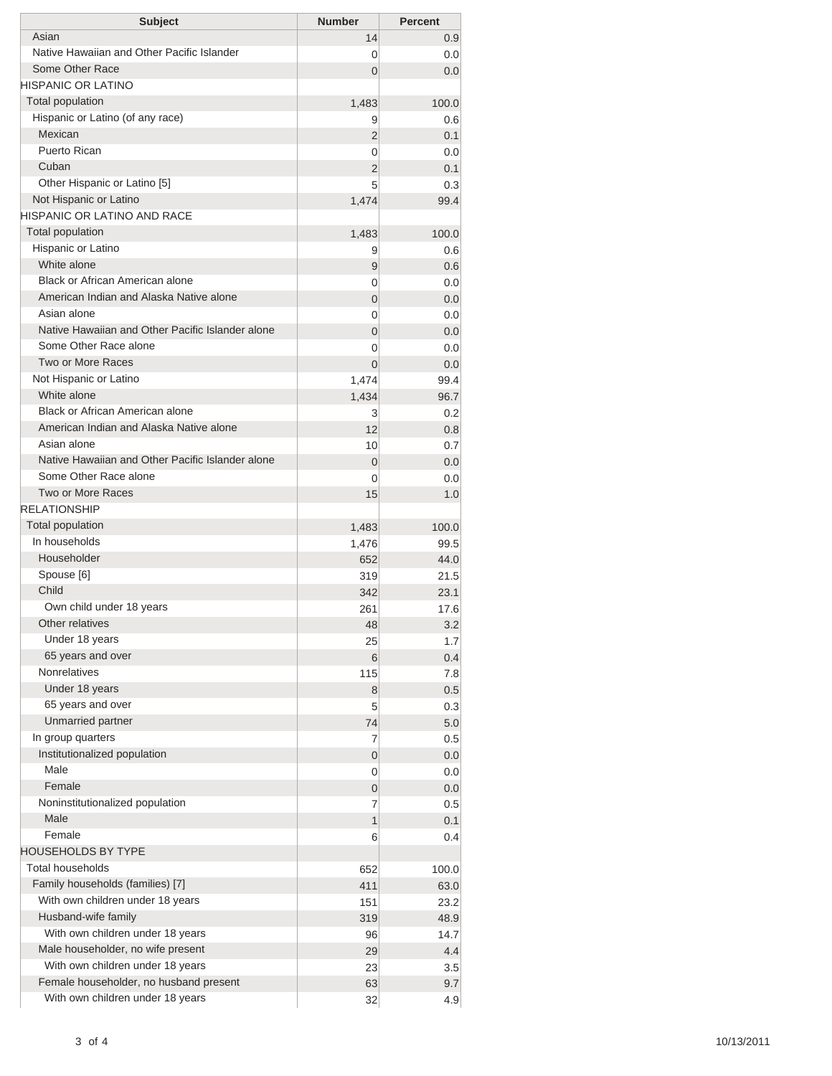| <b>Subject</b>                                   | <b>Number</b>   | <b>Percent</b> |
|--------------------------------------------------|-----------------|----------------|
| Asian                                            | 14              | 0.9            |
| Native Hawaiian and Other Pacific Islander       | 0               | 0.0            |
| Some Other Race                                  | $\Omega$        | 0.0            |
| <b>HISPANIC OR LATINO</b>                        |                 |                |
| Total population                                 | 1,483           | 100.0          |
| Hispanic or Latino (of any race)                 | 9               | 0.6            |
| Mexican                                          | 2               | 0.1            |
| Puerto Rican                                     | 0               | 0.0            |
| Cuban                                            | 2               | 0.1            |
| Other Hispanic or Latino [5]                     | 5               | 0.3            |
| Not Hispanic or Latino                           | 1,474           | 99.4           |
| HISPANIC OR LATINO AND RACE                      |                 |                |
| <b>Total population</b>                          | 1,483           | 100.0          |
| Hispanic or Latino<br>White alone                | 9               | 0.6            |
| <b>Black or African American alone</b>           | 9               | 0.6            |
| American Indian and Alaska Native alone          | 0               | 0.0            |
| Asian alone                                      | 0               | 0.0            |
| Native Hawaiian and Other Pacific Islander alone | 0               | 0.0            |
| Some Other Race alone                            | $\overline{0}$  | 0.0            |
| Two or More Races                                | 0               | 0.0            |
| Not Hispanic or Latino                           | $\overline{0}$  | 0.0            |
| White alone                                      | 1,474           | 99.4           |
| <b>Black or African American alone</b>           | 1,434           | 96.7           |
| American Indian and Alaska Native alone          | 3               | 0.2            |
| Asian alone                                      | 12              | 0.8            |
| Native Hawaiian and Other Pacific Islander alone | 10              | 0.7            |
| Some Other Race alone                            | 0               | 0.0            |
| Two or More Races                                | 0<br>15         | 0.0<br>1.0     |
| <b>RELATIONSHIP</b>                              |                 |                |
| Total population                                 | 1,483           | 100.0          |
| In households                                    | 1,476           | 99.5           |
| Householder                                      | 652             | 44.0           |
| Spouse [6]                                       | 319             | 21.5           |
| Child                                            | 342             | 23.1           |
| Own child under 18 years                         | 261             | 17.6           |
| Other relatives                                  | 48              | 3.2            |
| Under 18 years                                   | 25              | 1.7            |
| 65 years and over                                | 6               | 0.4            |
| <b>Nonrelatives</b>                              | 115             | 7.8            |
| Under 18 years                                   | 8               | 0.5            |
| 65 years and over                                | 5               | 0.3            |
| Unmarried partner                                | 74              | 5.0            |
| In group quarters                                | 7               | 0.5            |
| Institutionalized population                     | 0               | 0.0            |
| Male                                             | 0               | 0.0            |
| Female                                           | 0               | 0.0            |
| Noninstitutionalized population                  | 7               | 0.5            |
| Male                                             | 1               | 0.1            |
| Female                                           | 6               | 0.4            |
| <b>HOUSEHOLDS BY TYPE</b>                        |                 |                |
| <b>Total households</b>                          | 652             | 100.0          |
| Family households (families) [7]                 | 411             | 63.0           |
| With own children under 18 years                 | 151             | 23.2           |
| Husband-wife family                              | 319             | 48.9           |
| With own children under 18 years                 | 96              | 14.7           |
| Male householder, no wife present                | 29              | 4.4            |
| With own children under 18 years                 | 23              | 3.5            |
| Female householder, no husband present           | 63              | 9.7            |
| With own children under 18 years                 | 32 <sup>2</sup> | 4.9            |